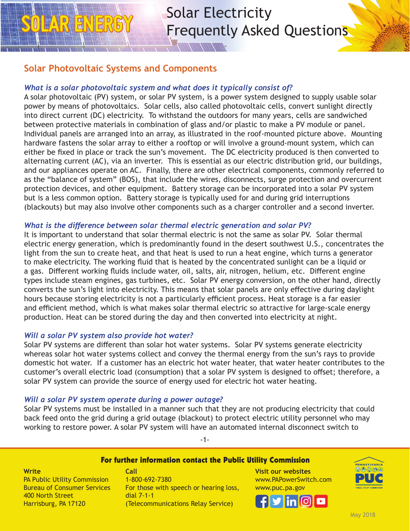# **SOLAR ENERGY Solar Electricity** Frequently Asked Questions

# **Solar Photovoltaic Systems and Components**

# *What is a solar photovoltaic system and what does it typically consist of?*

A solar photovoltaic (PV) system, or solar PV system, is a power system designed to supply usable solar power by means of photovoltaics. Solar cells, also called photovoltaic cells, convert sunlight directly into direct current (DC) electricity. To withstand the outdoors for many years, cells are sandwiched between protective materials in combination of glass and/or plastic to make a PV module or panel. Individual panels are arranged into an array, as illustrated in the roof-mounted picture above. Mounting hardware fastens the solar array to either a rooftop or will involve a ground-mount system, which can either be fixed in place or track the sun's movement. The DC electricity produced is then converted to alternating current (AC), via an inverter. This is essential as our electric distribution grid, our buildings, and our appliances operate on AC. Finally, there are other electrical components, commonly referred to as the "balance of system" (BOS), that include the wires, disconnects, surge protection and overcurrent protection devices, and other equipment. Battery storage can be incorporated into a solar PV system but is a less common option. Battery storage is typically used for and during grid interruptions (blackouts) but may also involve other components such as a charger controller and a second inverter.

## *What is the difference between solar thermal electric generation and solar PV?*

It is important to understand that solar thermal electric is not the same as solar PV. Solar thermal electric energy generation, which is predominantly found in the desert southwest U.S., concentrates the light from the sun to create heat, and that heat is used to run a heat engine, which turns a generator to make electricity. The working fluid that is heated by the concentrated sunlight can be a liquid or a gas. Different working fluids include water, oil, salts, air, nitrogen, helium, etc. Different engine types include steam engines, gas turbines, etc. Solar PV energy conversion, on the other hand, directly converts the sun's light into electricity. This means that solar panels are only effective during daylight hours because storing electricity is not a particularly efficient process. Heat storage is a far easier and efficient method, which is what makes solar thermal electric so attractive for large-scale energy production. Heat can be stored during the day and then converted into electricity at night.

## *Will a solar PV system also provide hot water?*

Solar PV systems are different than solar hot water systems. Solar PV systems generate electricity whereas solar hot water systems collect and convey the thermal energy from the sun's rays to provide domestic hot water. If a customer has an electric hot water heater, that water heater contributes to the customer's overall electric load (consumption) that a solar PV system is designed to offset; therefore, a solar PV system can provide the source of energy used for electric hot water heating.

### *Will a solar PV system operate during a power outage?*

Solar PV systems must be installed in a manner such that they are not producing electricity that could back feed onto the grid during a grid outage (blackout) to protect electric utility personnel who may working to restore power. A solar PV system will have an automated internal disconnect switch to

For further information contact the Public Utility Commission

-1-

**Write** PA Public Utility Commission Bureau of Consumer Services 400 North Street Harrisburg, PA 17120

**Call** 1-800-692-7380 For those with speech or hearing loss, dial 7-1-1 (Telecommunications Relay Service)

**Visit our websites** www.PAPowerSwitch.com www.puc.pa.gov



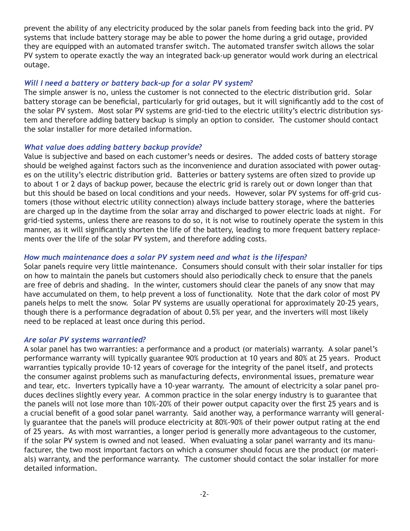prevent the ability of any electricity produced by the solar panels from feeding back into the grid. PV systems that include battery storage may be able to power the home during a grid outage, provided they are equipped with an automated transfer switch. The automated transfer switch allows the solar PV system to operate exactly the way an integrated back-up generator would work during an electrical outage.

## *Will I need a battery or battery back-up for a solar PV system?*

The simple answer is no, unless the customer is not connected to the electric distribution grid. Solar battery storage can be beneficial, particularly for grid outages, but it will significantly add to the cost of the solar PV system. Most solar PV systems are grid-tied to the electric utility's electric distribution system and therefore adding battery backup is simply an option to consider. The customer should contact the solar installer for more detailed information.

### *What value does adding battery backup provide?*

Value is subjective and based on each customer's needs or desires. The added costs of battery storage should be weighed against factors such as the inconvenience and duration associated with power outages on the utility's electric distribution grid. Batteries or battery systems are often sized to provide up to about 1 or 2 days of backup power, because the electric grid is rarely out or down longer than that but this should be based on local conditions and your needs. However, solar PV systems for off-grid customers (those without electric utility connection) always include battery storage, where the batteries are charged up in the daytime from the solar array and discharged to power electric loads at night. For grid-tied systems, unless there are reasons to do so, it is not wise to routinely operate the system in this manner, as it will significantly shorten the life of the battery, leading to more frequent battery replacements over the life of the solar PV system, and therefore adding costs.

## *How much maintenance does a solar PV system need and what is the lifespan?*

Solar panels require very little maintenance. Consumers should consult with their solar installer for tips on how to maintain the panels but customers should also periodically check to ensure that the panels are free of debris and shading. In the winter, customers should clear the panels of any snow that may have accumulated on them, to help prevent a loss of functionality. Note that the dark color of most PV panels helps to melt the snow. Solar PV systems are usually operational for approximately 20-25 years, though there is a performance degradation of about 0.5% per year, and the inverters will most likely need to be replaced at least once during this period.

### *Are solar PV systems warrantied?*

A solar panel has two warranties: a performance and a product (or materials) warranty. A solar panel's performance warranty will typically guarantee 90% production at 10 years and 80% at 25 years. Product warranties typically provide 10-12 years of coverage for the integrity of the panel itself, and protects the consumer against problems such as manufacturing defects, environmental issues, premature wear and tear, etc. Inverters typically have a 10-year warranty. The amount of electricity a solar panel produces declines slightly every year. A common practice in the solar energy industry is to guarantee that the panels will not lose more than 10%-20% of their power output capacity over the first 25 years and is a crucial benefit of a good solar panel warranty. Said another way, a performance warranty will generally guarantee that the panels will produce electricity at 80%-90% of their power output rating at the end of 25 years. As with most warranties, a longer period is generally more advantageous to the customer, if the solar PV system is owned and not leased. When evaluating a solar panel warranty and its manufacturer, the two most important factors on which a consumer should focus are the product (or materials) warranty, and the performance warranty. The customer should contact the solar installer for more detailed information.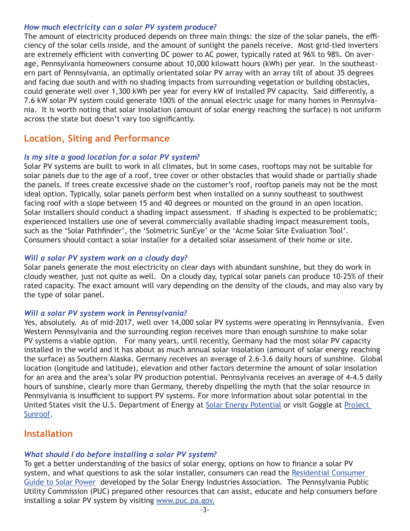### *How much electricity can a solar PV system produce?*

The amount of electricity produced depends on three main things: the size of the solar panels, the efficiency of the solar cells inside, and the amount of sunlight the panels receive. Most grid-tied inverters are extremely efficient with converting DC power to AC power, typically rated at 96% to 98%. On average, Pennsylvania homeowners consume about 10,000 kilowatt hours (kWh) per year. In the southeastern part of Pennsylvania, an optimally orientated solar PV array with an array tilt of about 35 degrees and facing due south and with no shading impacts from surrounding vegetation or building obstacles, could generate well over 1,300 kWh per year for every kW of installed PV capacity. Said differently, a 7.6 kW solar PV system could generate 100% of the annual electric usage for many homes in Pennsylvania. It is worth noting that solar insolation (amount of solar energy reaching the surface) is not uniform across the state but doesn't vary too significantly.

# **Location, Siting and Performance**

#### *Is my site a good location for a solar PV system?*

Solar PV systems are built to work in all climates, but in some cases, rooftops may not be suitable for solar panels due to the age of a roof, tree cover or other obstacles that would shade or partially shade the panels. If trees create excessive shade on the customer's roof, rooftop panels may not be the most ideal option. Typically, solar panels perform best when installed on a sunny southeast to southwest facing roof with a slope between 15 and 40 degrees or mounted on the ground in an open location. Solar installers should conduct a shading impact assessment. If shading is expected to be problematic; experienced installers use one of several commercially available shading impact measurement tools, such as the 'Solar Pathfinder', the 'Solmetric SunEye' or the 'Acme Solar Site Evaluation Tool'. Consumers should contact a solar installer for a detailed solar assessment of their home or site.

### *Will a solar PV system work on a cloudy day?*

Solar panels generate the most electricity on clear days with abundant sunshine, but they do work in cloudy weather, just not quite as well. On a cloudy day, typical solar panels can produce 10-25% of their rated capacity. The exact amount will vary depending on the density of the clouds, and may also vary by the type of solar panel.

#### *Will a solar PV system work in Pennsylvania?*

Yes, absolutely. As of mid-2017, well over 14,000 solar PV systems were operating in Pennsylvania. Even Western Pennsylvania and the surrounding region receives more than enough sunshine to make solar PV systems a viable option. For many years, until recently, Germany had the most solar PV capacity installed in the world and it has about as much annual solar insolation (amount of solar energy reaching the surface) as Southern Alaska. Germany receives an average of 2.6-3.6 daily hours of sunshine. Global location (longitude and latitude), elevation and other factors determine the amount of solar insolation for an area and the area's solar PV production potential. Pennsylvania receives an average of 4-4.5 daily hours of sunshine, clearly more than Germany, thereby dispelling the myth that the solar resource in Pennsylvania is insufficient to support PV systems. For more information about solar potential in the United States visit the U.S. Department of Energy at [Solar Energy Potential](https://www.energy.gov/maps/solar-energy-potential) or visit Goggle at [Project](https://www.google.com/get/sunroof#p=0&spf=1503076314430)  [Sunroof.](https://www.google.com/get/sunroof#p=0&spf=1503076314430)

# **Installation**

### *What should I do before installing a solar PV system?*

To get a better understanding of the basics of solar energy, options on how to finance a solar PV system, and what questions to ask the solar installer, consumers can read the [Residential Consumer](https://www.seia.org/sites/default/files/2018-06/SEIA-Consumer-Guide-Solar-Power-v4-2018-June.pdf)  [Guide to Solar Power](https://www.seia.org/sites/default/files/2018-06/SEIA-Consumer-Guide-Solar-Power-v4-2018-June.pdf) developed by the Solar Energy Industries Association. The Pennsylvania Public Utility Commission (PUC) prepared other resources that can assist, educate and help consumers before installing a solar PV system by visiting [www.puc.pa.gov.](http://www.puc.pa.gov)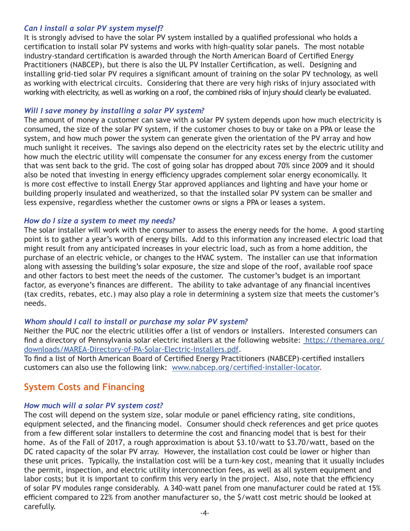## *Can I install a solar PV system myself?*

It is strongly advised to have the solar PV system installed by a qualified professional who holds a certification to install solar PV systems and works with high-quality solar panels. The most notable industry-standard certification is awarded through the North American Board of Certified Energy Practitioners (NABCEP), but there is also the UL PV Installer Certification, as well. Designing and installing grid-tied solar PV requires a significant amount of training on the solar PV technology, as well as working with electrical circuits. Considering that there are very high risks of injury associated with working with electricity, as well as working on a roof, the combined risks of injury should clearly be evaluated.

#### *Will I save money by installing a solar PV system?*

The amount of money a customer can save with a solar PV system depends upon how much electricity is consumed, the size of the solar PV system, if the customer choses to buy or take on a PPA or lease the system, and how much power the system can generate given the orientation of the PV array and how much sunlight it receives. The savings also depend on the electricity rates set by the electric utility and how much the electric utility will compensate the consumer for any excess energy from the customer that was sent back to the grid. The cost of going solar has dropped about 70% since 2009 and it should also be noted that investing in energy efficiency upgrades complement solar energy economically. It is more cost effective to install Energy Star approved appliances and lighting and have your home or building properly insulated and weatherized, so that the installed solar PV system can be smaller and less expensive, regardless whether the customer owns or signs a PPA or leases a system.

#### *How do I size a system to meet my needs?*

The solar installer will work with the consumer to assess the energy needs for the home. A good starting point is to gather a year's worth of energy bills. Add to this information any increased electric load that might result from any anticipated increases in your electric load, such as from a home addition, the purchase of an electric vehicle, or changes to the HVAC system. The installer can use that information along with assessing the building's solar exposure, the size and slope of the roof, available roof space and other factors to best meet the needs of the customer. The customer's budget is an important factor, as everyone's finances are different. The ability to take advantage of any financial incentives (tax credits, rebates, etc.) may also play a role in determining a system size that meets the customer's needs.

### *Whom should I call to install or purchase my solar PV system?*

Neither the PUC nor the electric utilities offer a list of vendors or installers. Interested consumers can find a directory of Pennsylvania solar electric installers at the following website: [https://themarea.org/](https://themarea.org/downloads/MAREA-Directory-of-PA-Solar-Electric-Installers.pdf) [downloads/MAREA-Directory-of-PA-Solar-Electric-Installers.pdf.](https://themarea.org/downloads/MAREA-Directory-of-PA-Solar-Electric-Installers.pdf)

To find a list of North American Board of Certified Energy Practitioners (NABCEP)-certified installers customers can also use the following link: [www.nabcep.org/certified-installer-locator](http://www.nabcep.org/certified-installer-locator).

# **System Costs and Financing**

### *How much will a solar PV system cost?*

The cost will depend on the system size, solar module or panel efficiency rating, site conditions, equipment selected, and the financing model. Consumer should check references and get price quotes from a few different solar installers to determine the cost and financing model that is best for their home. As of the Fall of 2017, a rough approximation is about \$3.10/watt to \$3.70/watt, based on the DC rated capacity of the solar PV array. However, the installation cost could be lower or higher than these unit prices. Typically, the installation cost will be a turn-key cost, meaning that it usually includes the permit, inspection, and electric utility interconnection fees, as well as all system equipment and labor costs; but it is important to confirm this very early in the project. Also, note that the efficiency of solar PV modules range considerably. A 340-watt panel from one manufacturer could be rated at 15% efficient compared to 22% from another manufacturer so, the \$/watt cost metric should be looked at carefully.  $\sim$  -4-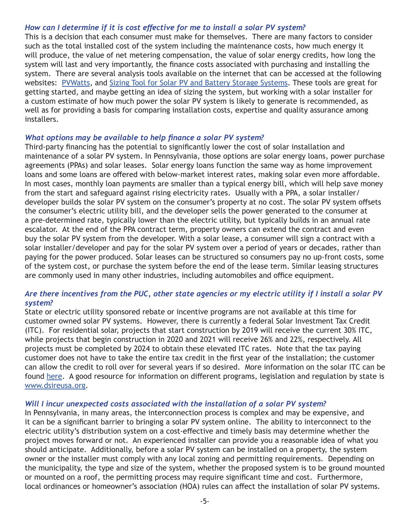# *How can I determine if it is cost effective for me to install a solar PV system?*

This is a decision that each consumer must make for themselves. There are many factors to consider such as the total installed cost of the system including the maintenance costs, how much energy it will produce, the value of net metering compensation, the value of solar energy credits, how long the system will last and very importantly, the finance costs associated with purchasing and installing the system. There are several analysis tools available on the internet that can be accessed at the following websites: [PVWatts](http://pvwatts.nrel.gov/index.php), and [Sizing Tool for Solar PV and Battery Storage Systems](https://solarresilient.org/). These tools are great for getting started, and maybe getting an idea of sizing the system, but working with a solar installer for a custom estimate of how much power the solar PV system is likely to generate is recommended, as well as for providing a basis for comparing installation costs, expertise and quality assurance among installers.

## *What options may be available to help finance a solar PV system?*

Third-party financing has the potential to significantly lower the cost of solar installation and maintenance of a solar PV system. In Pennsylvania, those options are solar energy loans, power purchase agreements (PPAs) and solar leases. Solar energy loans function the same way as home improvement loans and some loans are offered with below-market interest rates, making solar even more affordable. In most cases, monthly loan payments are smaller than a typical energy bill, which will help save money from the start and safeguard against rising electricity rates. Usually with a PPA, a solar installer/ developer builds the solar PV system on the consumer's property at no cost. The solar PV system offsets the consumer's electric utility bill, and the developer sells the power generated to the consumer at a pre-determined rate, typically lower than the electric utility, but typically builds in an annual rate escalator. At the end of the PPA contract term, property owners can extend the contract and even buy the solar PV system from the developer. With a solar lease, a consumer will sign a contract with a solar installer/developer and pay for the solar PV system over a period of years or decades, rather than paying for the power produced. Solar leases can be structured so consumers pay no up-front costs, some of the system cost, or purchase the system before the end of the lease term. Similar leasing structures are commonly used in many other industries, including automobiles and office equipment.

# *Are there incentives from the PUC, other state agencies or my electric utility if I install a solar PV system?*

State or electric utility sponsored rebate or incentive programs are not available at this time for customer owned solar PV systems. However, there is currently a federal Solar Investment Tax Credit (ITC). For residential solar, projects that start construction by 2019 will receive the current 30% ITC, while projects that begin construction in 2020 and 2021 will receive 26% and 22%, respectively. All projects must be completed by 2024 to obtain these elevated ITC rates. Note that the tax paying customer does not have to take the entire tax credit in the first year of the installation; the customer can allow the credit to roll over for several years if so desired. More information on the solar ITC can be found [here](https://www.seia.org/initiatives/solar-investment-tax-credit-itc). A good resource for information on different programs, legislation and regulation by state is [www.dsireusa.org.](http://www.dsireusa.org)

### *Will I incur unexpected costs associated with the installation of a solar PV system?*

In Pennsylvania, in many areas, the interconnection process is complex and may be expensive, and it can be a significant barrier to bringing a solar PV system online. The ability to interconnect to the electric utility's distribution system on a cost-effective and timely basis may determine whether the project moves forward or not. An experienced installer can provide you a reasonable idea of what you should anticipate. Additionally, before a solar PV system can be installed on a property, the system owner or the installer must comply with any local zoning and permitting requirements. Depending on the municipality, the type and size of the system, whether the proposed system is to be ground mounted or mounted on a roof, the permitting process may require significant time and cost. Furthermore, local ordinances or homeowner's association (HOA) rules can affect the installation of solar PV systems.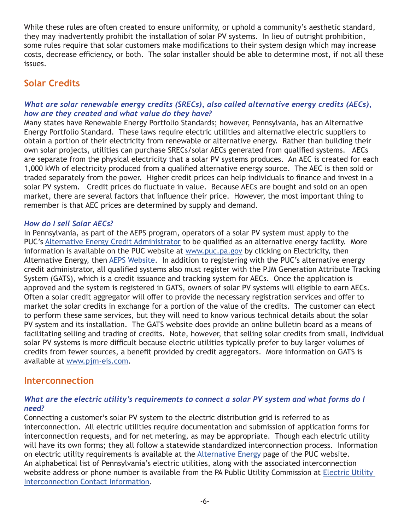While these rules are often created to ensure uniformity, or uphold a community's aesthetic standard, they may inadvertently prohibit the installation of solar PV systems. In lieu of outright prohibition, some rules require that solar customers make modifications to their system design which may increase costs, decrease efficiency, or both. The solar installer should be able to determine most, if not all these issues.

# **Solar Credits**

# *What are solar renewable energy credits (SRECs), also called alternative energy credits (AECs), how are they created and what value do they have?*

Many states have Renewable Energy Portfolio Standards; however, Pennsylvania, has an Alternative Energy Portfolio Standard. These laws require electric utilities and alternative electric suppliers to obtain a portion of their electricity from renewable or alternative energy. Rather than building their own solar projects, utilities can purchase SRECs/solar AECs generated from qualified systems. AECs are separate from the physical electricity that a solar PV systems produces. An AEC is created for each 1,000 kWh of electricity produced from a qualified alternative energy source. The AEC is then sold or traded separately from the power. Higher credit prices can help individuals to finance and invest in a solar PV system. Credit prices do fluctuate in value. Because AECs are bought and sold on an open market, there are several factors that influence their price. However, the most important thing to remember is that AEC prices are determined by supply and demand.

## *How do I sell Solar AECs?*

In Pennsylvania, as part of the AEPS program, operators of a solar PV system must apply to the PUC's [Alternative Energy Credit Administrator](http://www.pennaeps.com/) to be qualified as an alternative energy facility. More information is available on the PUC website at [www.puc.pa.gov](http://www.puc.pa.gov) by clicking on Electricity, then Alternative Energy, then [AEPS Website](http://www.pennaeps.com/). In addition to registering with the PUC's alternative energy credit administrator, all qualified systems also must register with the PJM Generation Attribute Tracking System (GATS), which is a credit issuance and tracking system for AECs. Once the application is approved and the system is registered in GATS, owners of solar PV systems will eligible to earn AECs. Often a solar credit aggregator will offer to provide the necessary registration services and offer to market the solar credits in exchange for a portion of the value of the credits. The customer can elect to perform these same services, but they will need to know various technical details about the solar PV system and its installation. The GATS website does provide an online bulletin board as a means of facilitating selling and trading of credits. Note, however, that selling solar credits from small, individual solar PV systems is more difficult because electric utilities typically prefer to buy larger volumes of credits from fewer sources, a benefit provided by credit aggregators. More information on GATS is available at [www.pjm-eis.com.](http://www.pjm-eis.com)

# **Interconnection**

## *What are the electric utility's requirements to connect a solar PV system and what forms do I need?*

Connecting a customer's solar PV system to the electric distribution grid is referred to as interconnection. All electric utilities require documentation and submission of application forms for interconnection requests, and for net metering, as may be appropriate. Though each electric utility will have its own forms; they all follow a statewide standardized interconnection process. Information on electric utility requirements is available at the [Alternative Energy](http://www.puc.pa.gov/consumer_info/electricity/alternative_energy.aspx) page of the PUC website. An alphabetical list of Pennsylvania's electric utilities, along with the associated interconnection website address or phone number is available from the PA Public Utility Commission at [Electric Utility](http://www.puc.pa.gov/electric/pdf/AEPS/EDC_Interc_Tech_Contacts.pdf)  [Interconnection Contact Information](http://www.puc.pa.gov/electric/pdf/AEPS/EDC_Interc_Tech_Contacts.pdf).